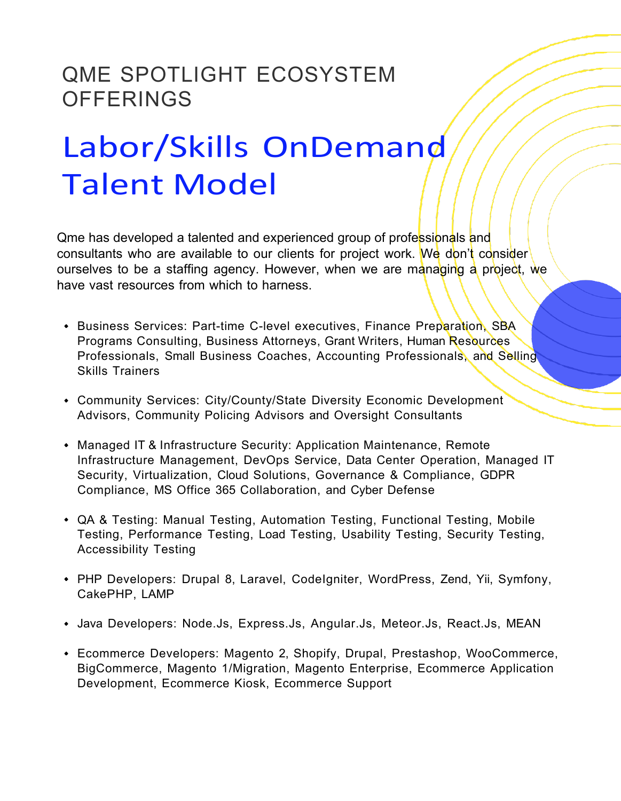## QME SPOTLIGHT ECOSYSTEM **OFFERINGS**

## Labor/Skills OnDemand Talent Model

Qme has developed a talented and experienced group of professionals and consultants who are available to our clients for project work. We don't consider ourselves to be a staffing agency. However, when we are managing a project, we have vast resources from which to harness.

- Business Services: Part-time C-level executives, Finance Preparation, SBA Programs Consulting, Business Attorneys, Grant Writers, Human Resources Professionals, Small Business Coaches, Accounting Professionals, and Selling Skills Trainers
- Community Services: City/County/State Diversity Economic Development Advisors, Community Policing Advisors and Oversight Consultants
- Managed IT & Infrastructure Security: Application Maintenance, Remote Infrastructure Management, DevOps Service, Data Center Operation, Managed IT Security, Virtualization, Cloud Solutions, Governance & Compliance, GDPR Compliance, MS Office 365 Collaboration, and Cyber Defense
- QA & Testing: Manual Testing, Automation Testing, Functional Testing, Mobile Testing, Performance Testing, Load Testing, Usability Testing, Security Testing, Accessibility Testing
- PHP Developers: Drupal 8, Laravel, CodeIgniter, WordPress, Zend, Yii, Symfony, CakePHP, LAMP
- Java Developers: Node.Js, Express.Js, Angular.Js, Meteor.Js, React.Js, MEAN
- Ecommerce Developers: Magento 2, Shopify, Drupal, Prestashop, WooCommerce, BigCommerce, Magento 1/Migration, Magento Enterprise, Ecommerce Application Development, Ecommerce Kiosk, Ecommerce Support